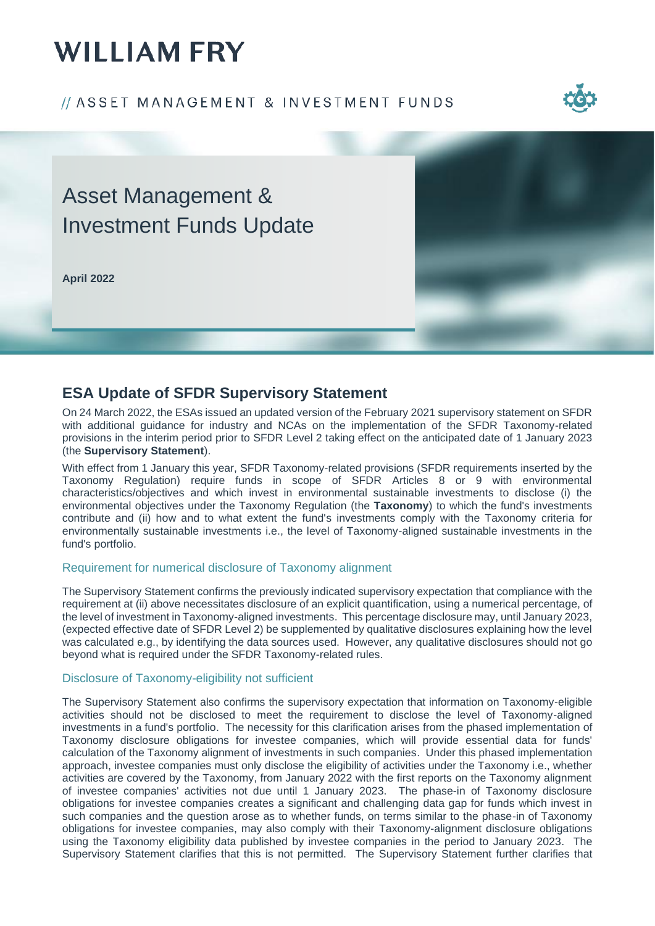# **WILLIAM FRY**

### // ASSET MANAGEMENT & INVESTMENT FUNDS



# Asset Management & Investment Funds Update

**April 2022**



### **ESA Update of SFDR Supervisory Statement**

On 24 March 2022, the ESAs issued an updated version of the February 2021 supervisory statement on SFDR with additional guidance for industry and NCAs on the implementation of the SFDR Taxonomy-related provisions in the interim period prior to SFDR Level 2 taking effect on the anticipated date of 1 January 2023 (the **Supervisory Statement**).

With effect from 1 January this year, SFDR Taxonomy-related provisions (SFDR requirements inserted by the Taxonomy Regulation) require funds in scope of SFDR Articles 8 or 9 with environmental characteristics/objectives and which invest in environmental sustainable investments to disclose (i) the environmental objectives under the Taxonomy Regulation (the **Taxonomy**) to which the fund's investments contribute and (ii) how and to what extent the fund's investments comply with the Taxonomy criteria for environmentally sustainable investments i.e., the level of Taxonomy-aligned sustainable investments in the fund's portfolio.

#### Requirement for numerical disclosure of Taxonomy alignment

The Supervisory Statement confirms the previously indicated supervisory expectation that compliance with the requirement at (ii) above necessitates disclosure of an explicit quantification, using a numerical percentage, of the level of investment in Taxonomy-aligned investments. This percentage disclosure may, until January 2023, (expected effective date of SFDR Level 2) be supplemented by qualitative disclosures explaining how the level was calculated e.g., by identifying the data sources used. However, any qualitative disclosures should not go beyond what is required under the SFDR Taxonomy-related rules.

#### Disclosure of Taxonomy-eligibility not sufficient

The Supervisory Statement also confirms the supervisory expectation that information on Taxonomy-eligible activities should not be disclosed to meet the requirement to disclose the level of Taxonomy-aligned investments in a fund's portfolio. The necessity for this clarification arises from the phased implementation of Taxonomy disclosure obligations for investee companies, which will provide essential data for funds' calculation of the Taxonomy alignment of investments in such companies. Under this phased implementation approach, investee companies must only disclose the eligibility of activities under the Taxonomy i.e., whether activities are covered by the Taxonomy, from January 2022 with the first reports on the Taxonomy alignment of investee companies' activities not due until 1 January 2023. The phase-in of Taxonomy disclosure obligations for investee companies creates a significant and challenging data gap for funds which invest in such companies and the question arose as to whether funds, on terms similar to the phase-in of Taxonomy obligations for investee companies, may also comply with their Taxonomy-alignment disclosure obligations using the Taxonomy eligibility data published by investee companies in the period to January 2023. The Supervisory Statement clarifies that this is not permitted. The Supervisory Statement further clarifies that